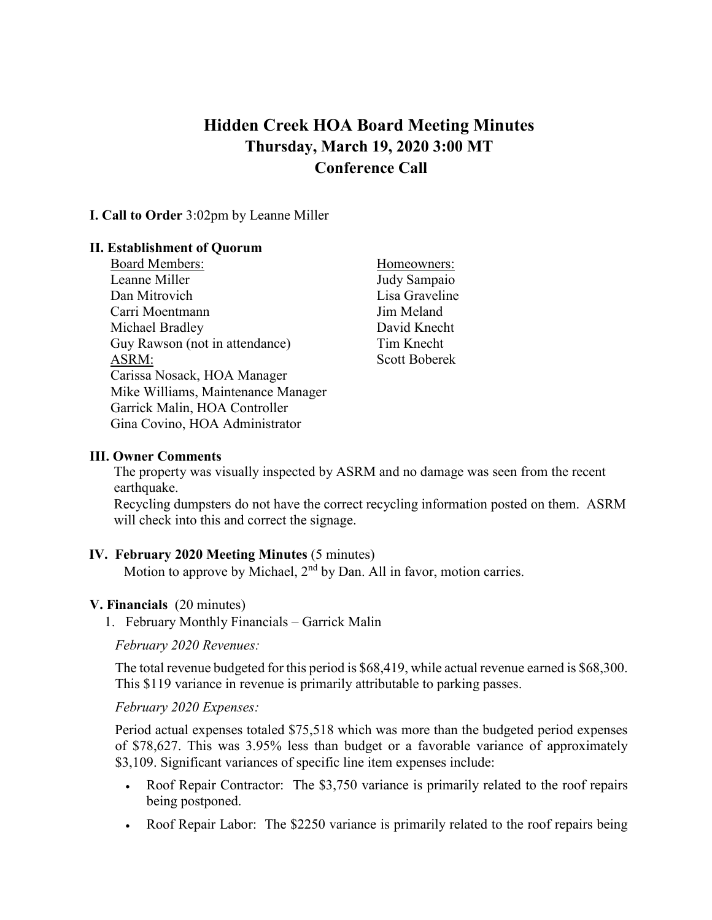# **Hidden Creek HOA Board Meeting Minutes Thursday, March 19, 2020 3:00 MT Conference Call**

#### **I. Call to Order** 3:02pm by Leanne Miller

#### **II. Establishment of Quorum**

| Homeowners:          |
|----------------------|
| Judy Sampaio         |
| Lisa Graveline       |
| Jim Meland           |
| David Knecht         |
| Tim Knecht           |
| <b>Scott Boberek</b> |
|                      |
|                      |
|                      |
|                      |
|                      |

#### **III. Owner Comments**

The property was visually inspected by ASRM and no damage was seen from the recent earthquake.

Recycling dumpsters do not have the correct recycling information posted on them. ASRM will check into this and correct the signage.

#### **IV. February 2020 Meeting Minutes** (5 minutes)

Motion to approve by Michael, 2<sup>nd</sup> by Dan. All in favor, motion carries.

#### **V. Financials** (20 minutes)

1. February Monthly Financials – Garrick Malin

*February 2020 Revenues:*

The total revenue budgeted for this period is \$68,419, while actual revenue earned is \$68,300. This \$119 variance in revenue is primarily attributable to parking passes.

#### *February 2020 Expenses:*

Period actual expenses totaled \$75,518 which was more than the budgeted period expenses of \$78,627. This was 3.95% less than budget or a favorable variance of approximately \$3,109. Significant variances of specific line item expenses include:

- Roof Repair Contractor: The \$3,750 variance is primarily related to the roof repairs being postponed.
- Roof Repair Labor: The \$2250 variance is primarily related to the roof repairs being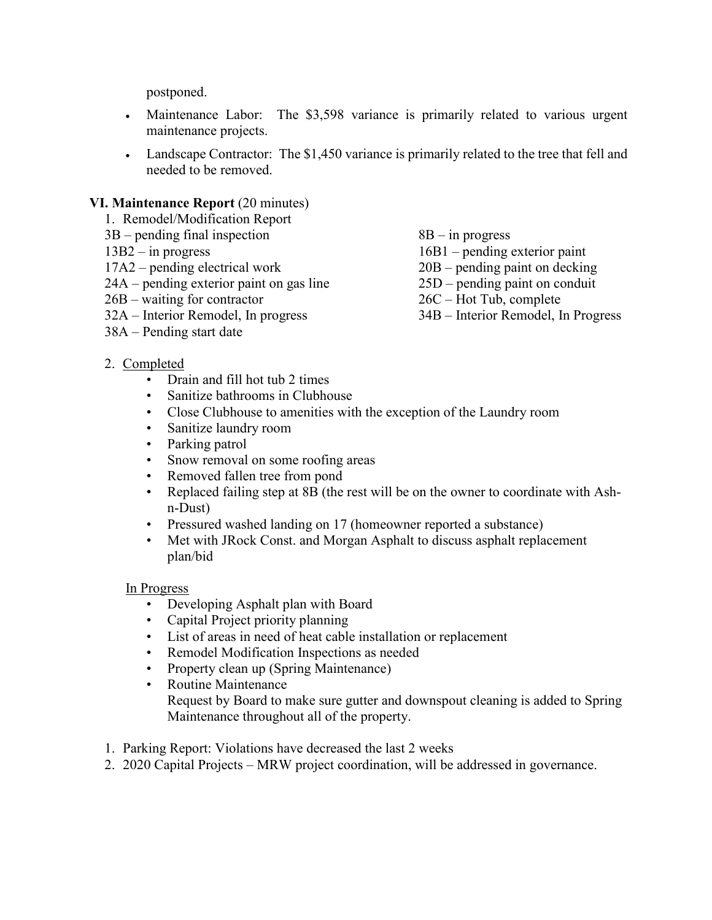postponed.

- Maintenance Labor: The \$3,598 variance is primarily related to various urgent maintenance projects.
- Landscape Contractor: The \$1,450 variance is primarily related to the tree that fell and needed to be removed.

# **VI. Maintenance Report** (20 minutes)

- 1. Remodel/Modification Report
- 3B pending final inspection 8B in progress
- 
- 
- 17A2 pending electrical work 20B pending paint on decking<br>
24A pending exterior paint on gas line 25D pending paint on conduit  $24A$  – pending exterior paint on gas line
- 26B waiting for contractor 26C Hot Tub, complete
- 
- 38A Pending start date
- 
- 13B2 in progress 16B1 pending exterior paint
	-
	-
	-
- 32A Interior Remodel, In progress 34B Interior Remodel, In Progress
- 2. Completed
	- Drain and fill hot tub 2 times
	- Sanitize bathrooms in Clubhouse
	- Close Clubhouse to amenities with the exception of the Laundry room
	- Sanitize laundry room
	- Parking patrol
	- Snow removal on some roofing areas
	- Removed fallen tree from pond
	- Replaced failing step at 8B (the rest will be on the owner to coordinate with Ashn-Dust)
	- Pressured washed landing on 17 (homeowner reported a substance)
	- Met with JRock Const. and Morgan Asphalt to discuss asphalt replacement plan/bid

# In Progress

- Developing Asphalt plan with Board
- Capital Project priority planning
- List of areas in need of heat cable installation or replacement
- Remodel Modification Inspections as needed
- Property clean up (Spring Maintenance)
- Routine Maintenance Request by Board to make sure gutter and downspout cleaning is added to Spring Maintenance throughout all of the property.
- 1. Parking Report: Violations have decreased the last 2 weeks
- 2. 2020 Capital Projects MRW project coordination, will be addressed in governance.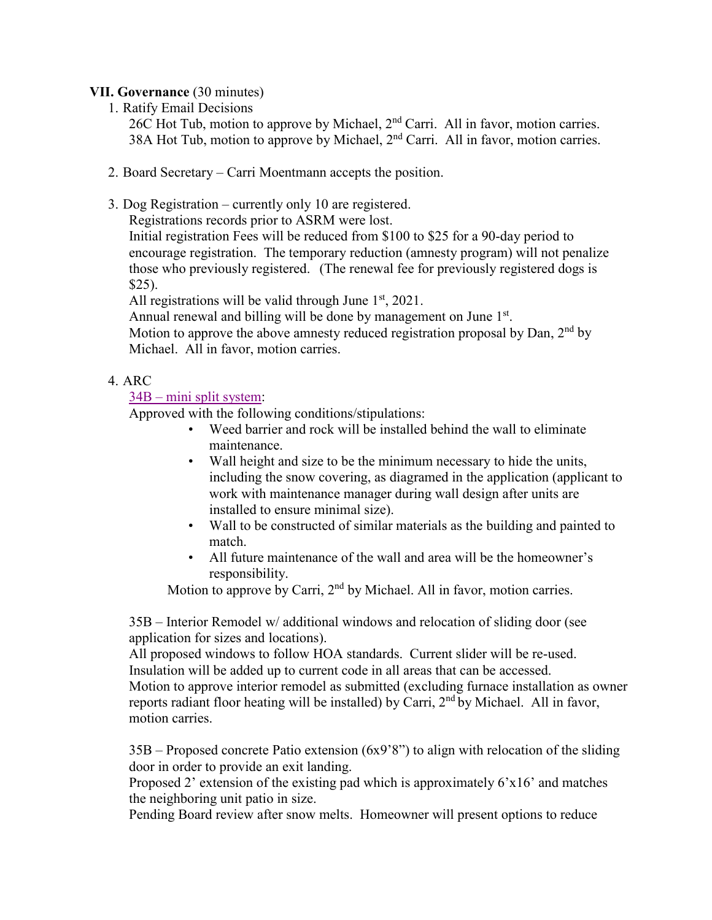## **VII. Governance** (30 minutes)

1. Ratify Email Decisions

26C Hot Tub, motion to approve by Michael,  $2<sup>nd</sup>$  Carri. All in favor, motion carries. 38A Hot Tub, motion to approve by Michael,  $2<sup>nd</sup>$  Carri. All in favor, motion carries.

- 2. Board Secretary Carri Moentmann accepts the position.
- 3. Dog Registration currently only 10 are registered.

Registrations records prior to ASRM were lost.

Initial registration Fees will be reduced from \$100 to \$25 for a 90-day period to encourage registration. The temporary reduction (amnesty program) will not penalize those who previously registered. (The renewal fee for previously registered dogs is \$25).

All registrations will be valid through June  $1<sup>st</sup>$ , 2021.

Annual renewal and billing will be done by management on June 1<sup>st</sup>. Motion to approve the above amnesty reduced registration proposal by Dan,  $2<sup>nd</sup>$  by Michael. All in favor, motion carries.

# 4. ARC

# 34B – [mini split](https://www.dropbox.com/s/9ysjsba2aaqyigv/1920%2034B%20Min%20Split%20System.pdf?dl=0) system:

Approved with the following conditions/stipulations:

- Weed barrier and rock will be installed behind the wall to eliminate maintenance.
- Wall height and size to be the minimum necessary to hide the units, including the snow covering, as diagramed in the application (applicant to work with maintenance manager during wall design after units are installed to ensure minimal size).
- Wall to be constructed of similar materials as the building and painted to match.
- All future maintenance of the wall and area will be the homeowner's responsibility.

Motion to approve by Carri, 2<sup>nd</sup> by Michael. All in favor, motion carries.

35B – Interior Remodel w/ additional windows and relocation of sliding door (see application for sizes and locations).

All proposed windows to follow HOA standards. Current slider will be re-used. Insulation will be added up to current code in all areas that can be accessed. Motion to approve interior remodel as submitted (excluding furnace installation as owner reports radiant floor heating will be installed) by Carri, 2<sup>nd</sup> by Michael. All in favor, motion carries.

35B – Proposed concrete Patio extension (6x9'8") to align with relocation of the sliding door in order to provide an exit landing.

Proposed 2' extension of the existing pad which is approximately 6'x16' and matches the neighboring unit patio in size.

Pending Board review after snow melts. Homeowner will present options to reduce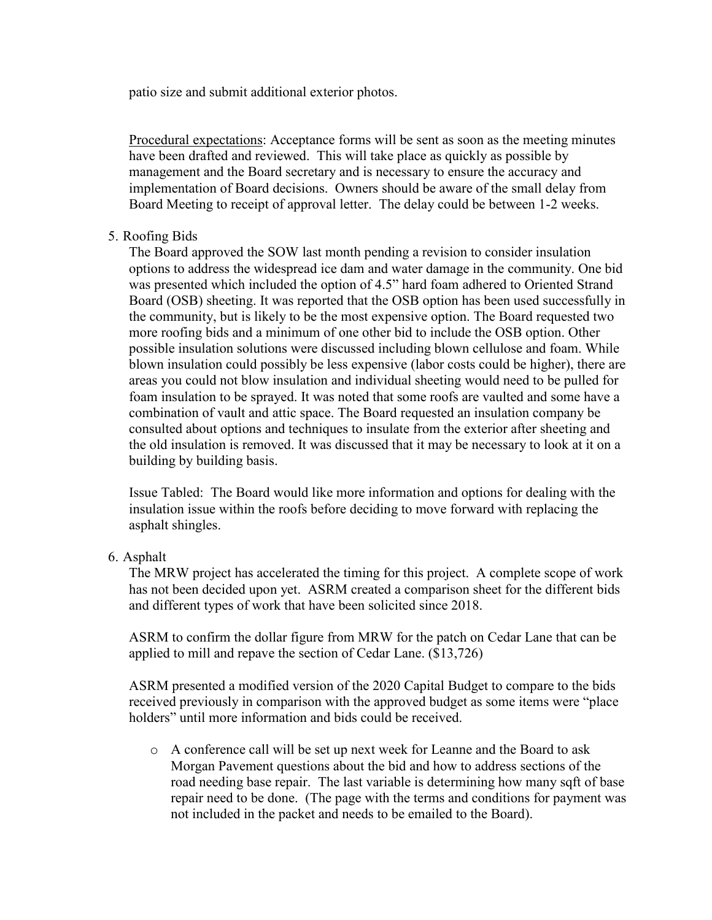patio size and submit additional exterior photos.

Procedural expectations: Acceptance forms will be sent as soon as the meeting minutes have been drafted and reviewed. This will take place as quickly as possible by management and the Board secretary and is necessary to ensure the accuracy and implementation of Board decisions. Owners should be aware of the small delay from Board Meeting to receipt of approval letter. The delay could be between 1-2 weeks.

### 5. Roofing Bids

The Board approved the SOW last month pending a revision to consider insulation options to address the widespread ice dam and water damage in the community. One bid was presented which included the option of 4.5" hard foam adhered to Oriented Strand Board (OSB) sheeting. It was reported that the OSB option has been used successfully in the community, but is likely to be the most expensive option. The Board requested two more roofing bids and a minimum of one other bid to include the OSB option. Other possible insulation solutions were discussed including blown cellulose and foam. While blown insulation could possibly be less expensive (labor costs could be higher), there are areas you could not blow insulation and individual sheeting would need to be pulled for foam insulation to be sprayed. It was noted that some roofs are vaulted and some have a combination of vault and attic space. The Board requested an insulation company be consulted about options and techniques to insulate from the exterior after sheeting and the old insulation is removed. It was discussed that it may be necessary to look at it on a building by building basis.

Issue Tabled: The Board would like more information and options for dealing with the insulation issue within the roofs before deciding to move forward with replacing the asphalt shingles.

#### 6. Asphalt

The MRW project has accelerated the timing for this project. A complete scope of work has not been decided upon yet. ASRM created a comparison sheet for the different bids and different types of work that have been solicited since 2018.

ASRM to confirm the dollar figure from MRW for the patch on Cedar Lane that can be applied to mill and repave the section of Cedar Lane. (\$13,726)

ASRM presented a modified version of the 2020 Capital Budget to compare to the bids received previously in comparison with the approved budget as some items were "place holders" until more information and bids could be received.

o A conference call will be set up next week for Leanne and the Board to ask Morgan Pavement questions about the bid and how to address sections of the road needing base repair. The last variable is determining how many sqft of base repair need to be done. (The page with the terms and conditions for payment was not included in the packet and needs to be emailed to the Board).